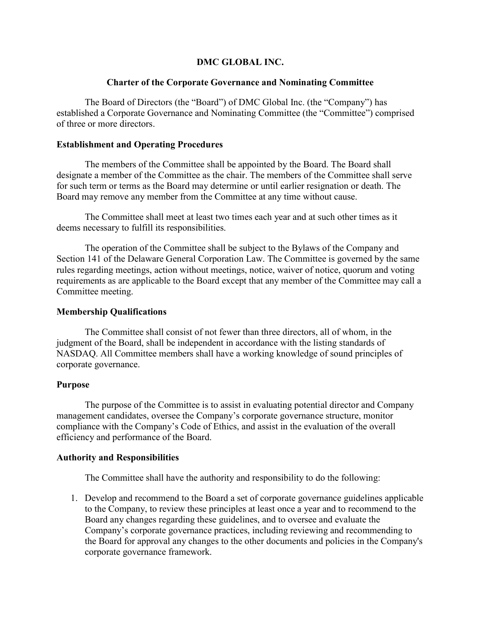# DMC GLOBAL INC.

## Charter of the Corporate Governance and Nominating Committee

The Board of Directors (the "Board") of DMC Global Inc. (the "Company") has established a Corporate Governance and Nominating Committee (the "Committee") comprised of three or more directors.

# Establishment and Operating Procedures

The members of the Committee shall be appointed by the Board. The Board shall designate a member of the Committee as the chair. The members of the Committee shall serve for such term or terms as the Board may determine or until earlier resignation or death. The Board may remove any member from the Committee at any time without cause.

The Committee shall meet at least two times each year and at such other times as it deems necessary to fulfill its responsibilities.

The operation of the Committee shall be subject to the Bylaws of the Company and Section 141 of the Delaware General Corporation Law. The Committee is governed by the same rules regarding meetings, action without meetings, notice, waiver of notice, quorum and voting requirements as are applicable to the Board except that any member of the Committee may call a Committee meeting.

## Membership Qualifications

The Committee shall consist of not fewer than three directors, all of whom, in the judgment of the Board, shall be independent in accordance with the listing standards of NASDAQ. All Committee members shall have a working knowledge of sound principles of corporate governance.

## Purpose

The purpose of the Committee is to assist in evaluating potential director and Company management candidates, oversee the Company's corporate governance structure, monitor compliance with the Company's Code of Ethics, and assist in the evaluation of the overall efficiency and performance of the Board.

## Authority and Responsibilities

The Committee shall have the authority and responsibility to do the following:

1. Develop and recommend to the Board a set of corporate governance guidelines applicable to the Company, to review these principles at least once a year and to recommend to the Board any changes regarding these guidelines, and to oversee and evaluate the Company's corporate governance practices, including reviewing and recommending to the Board for approval any changes to the other documents and policies in the Company's corporate governance framework.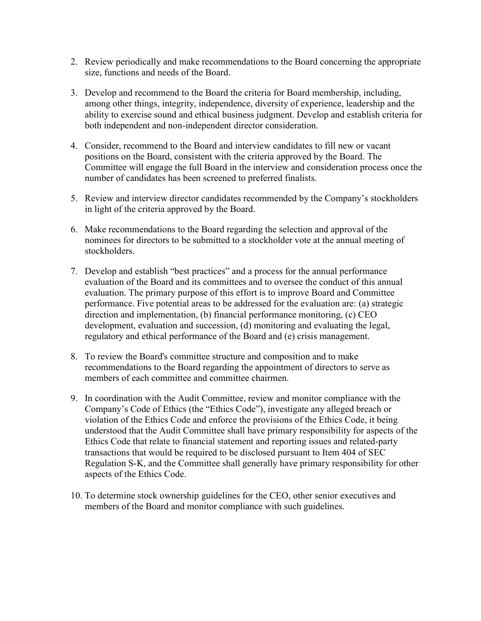- 2. Review periodically and make recommendations to the Board concerning the appropriate size, functions and needs of the Board.
- 3. Develop and recommend to the Board the criteria for Board membership, including, among other things, integrity, independence, diversity of experience, leadership and the ability to exercise sound and ethical business judgment. Develop and establish criteria for both independent and non-independent director consideration.
- 4. Consider, recommend to the Board and interview candidates to fill new or vacant positions on the Board, consistent with the criteria approved by the Board. The Committee will engage the full Board in the interview and consideration process once the number of candidates has been screened to preferred finalists.
- 5. Review and interview director candidates recommended by the Company's stockholders in light of the criteria approved by the Board.
- 6. Make recommendations to the Board regarding the selection and approval of the nominees for directors to be submitted to a stockholder vote at the annual meeting of stockholders.
- 7. Develop and establish "best practices" and a process for the annual performance evaluation of the Board and its committees and to oversee the conduct of this annual evaluation. The primary purpose of this effort is to improve Board and Committee performance. Five potential areas to be addressed for the evaluation are: (a) strategic direction and implementation, (b) financial performance monitoring, (c) CEO development, evaluation and succession, (d) monitoring and evaluating the legal, regulatory and ethical performance of the Board and (e) crisis management.
- 8. To review the Board's committee structure and composition and to make recommendations to the Board regarding the appointment of directors to serve as members of each committee and committee chairmen.
- 9. In coordination with the Audit Committee, review and monitor compliance with the Company's Code of Ethics (the "Ethics Code"), investigate any alleged breach or violation of the Ethics Code and enforce the provisions of the Ethics Code, it being understood that the Audit Committee shall have primary responsibility for aspects of the Ethics Code that relate to financial statement and reporting issues and related-party transactions that would be required to be disclosed pursuant to Item 404 of SEC Regulation S-K, and the Committee shall generally have primary responsibility for other aspects of the Ethics Code.
- 10. To determine stock ownership guidelines for the CEO, other senior executives and members of the Board and monitor compliance with such guidelines.